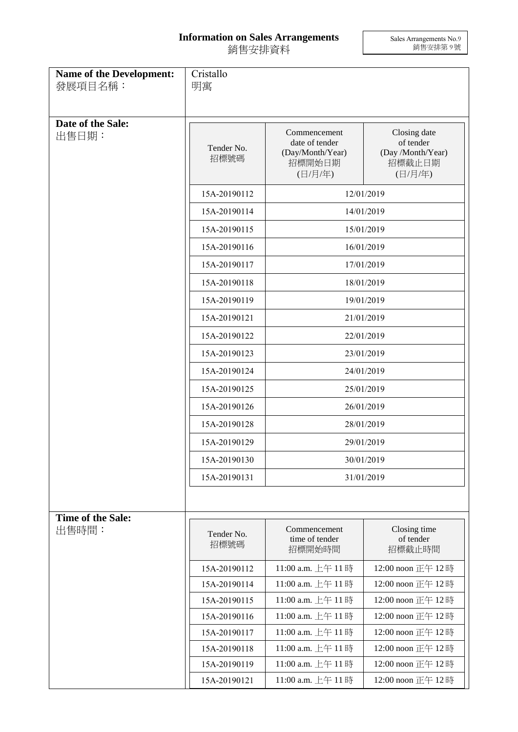## **Information on Sales Arrangements** 銷售安排資料

Sales Arrangements No.9 銷售安排第 9 號

| <b>Name of the Development:</b><br>發展項目名稱: | Cristallo<br>明寓    |                                                                         |                                                                     |  |
|--------------------------------------------|--------------------|-------------------------------------------------------------------------|---------------------------------------------------------------------|--|
| Date of the Sale:<br>出售日期:                 | Tender No.<br>招標號碼 | Commencement<br>date of tender<br>(Day/Month/Year)<br>招標開始日期<br>(日/月/年) | Closing date<br>of tender<br>(Day /Month/Year)<br>招標截止日期<br>(日/月/年) |  |
|                                            | 15A-20190112       | 12/01/2019                                                              |                                                                     |  |
|                                            | 15A-20190114       | 14/01/2019                                                              |                                                                     |  |
|                                            | 15A-20190115       | 15/01/2019                                                              |                                                                     |  |
|                                            | 15A-20190116       | 16/01/2019                                                              |                                                                     |  |
|                                            | 15A-20190117       | 17/01/2019                                                              |                                                                     |  |
|                                            | 15A-20190118       | 18/01/2019                                                              |                                                                     |  |
|                                            | 15A-20190119       | 19/01/2019                                                              |                                                                     |  |
|                                            | 15A-20190121       | 21/01/2019                                                              |                                                                     |  |
|                                            | 15A-20190122       | 22/01/2019                                                              |                                                                     |  |
|                                            | 15A-20190123       | 23/01/2019                                                              |                                                                     |  |
|                                            | 15A-20190124       | 24/01/2019                                                              |                                                                     |  |
|                                            | 15A-20190125       | 25/01/2019                                                              |                                                                     |  |
|                                            | 15A-20190126       | 26/01/2019                                                              |                                                                     |  |
|                                            | 15A-20190128       | 28/01/2019                                                              |                                                                     |  |
|                                            | 15A-20190129       | 29/01/2019                                                              |                                                                     |  |
|                                            | 15A-20190130       | 30/01/2019                                                              |                                                                     |  |
|                                            | 15A-20190131       | 31/01/2019                                                              |                                                                     |  |
|                                            |                    |                                                                         |                                                                     |  |
| Time of the Sale:<br>出售時間:                 | Tender No.<br>招標號碼 | Commencement<br>time of tender<br>招標開始時間                                | Closing time<br>of tender<br>招標截止時間                                 |  |
|                                            | 15A-20190112       | 11:00 a.m. 上午 11時                                                       | 12:00 noon 正午 12時                                                   |  |
|                                            | 15A-20190114       | 11:00 a.m. 上午 11時                                                       | 12:00 noon 正午 12時                                                   |  |
|                                            | 15A-20190115       | 11:00 a.m. 上午 11時                                                       | 12:00 noon 正午 12時                                                   |  |
|                                            | 15A-20190116       | 11:00 a.m. 上午 11時                                                       | 12:00 noon 正午 12時                                                   |  |
|                                            | 15A-20190117       | 11:00 a.m. 上午 11時                                                       | 12:00 noon 正午 12時                                                   |  |
|                                            | 15A-20190118       | 11:00 a.m. 上午 11時                                                       | 12:00 noon 正午 12時                                                   |  |
|                                            | 15A-20190119       | 11:00 a.m. 上午 11時                                                       | 12:00 noon 正午 12時                                                   |  |
|                                            | 15A-20190121       | 11:00 a.m. 上午 11時                                                       | 12:00 noon 正午 12時                                                   |  |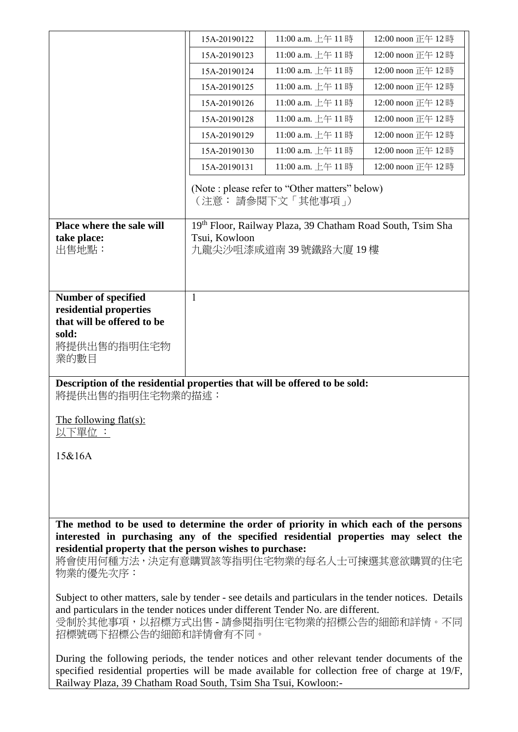|                                                                                                                                                                                               | 15A-20190122  | 11:00 a.m. 上午 11時                                                   | 12:00 noon 正午 12時 |
|-----------------------------------------------------------------------------------------------------------------------------------------------------------------------------------------------|---------------|---------------------------------------------------------------------|-------------------|
|                                                                                                                                                                                               | 15A-20190123  | 11:00 a.m. 上午 11時                                                   | 12:00 noon 正午 12時 |
|                                                                                                                                                                                               | 15A-20190124  | 11:00 a.m. 上午 11時                                                   | 12:00 noon 正午 12時 |
|                                                                                                                                                                                               | 15A-20190125  | 11:00 a.m. 上午11時                                                    | 12:00 noon 正午 12時 |
|                                                                                                                                                                                               | 15A-20190126  | 11:00 a.m. 上午 11時                                                   | 12:00 noon 正午 12時 |
|                                                                                                                                                                                               | 15A-20190128  | 11:00 a.m. 上午 11時                                                   | 12:00 noon 正午 12時 |
|                                                                                                                                                                                               | 15A-20190129  | 11:00 a.m. 上午 11時                                                   | 12:00 noon 正午 12時 |
|                                                                                                                                                                                               | 15A-20190130  | 11:00 a.m. 上午 11時                                                   | 12:00 noon 正午 12時 |
|                                                                                                                                                                                               | 15A-20190131  | 11:00 a.m. 上午 11時                                                   | 12:00 noon 正午 12時 |
|                                                                                                                                                                                               |               | (Note : please refer to "Other matters" below)<br>(注意: 請參閱下文「其他事項」) |                   |
| Place where the sale will                                                                                                                                                                     |               | 19th Floor, Railway Plaza, 39 Chatham Road South, Tsim Sha          |                   |
| take place:                                                                                                                                                                                   | Tsui, Kowloon |                                                                     |                   |
| 出售地點:                                                                                                                                                                                         |               | 九龍尖沙咀漆咸道南 39 號鐵路大廈 19 樓                                             |                   |
|                                                                                                                                                                                               |               |                                                                     |                   |
| Number of specified                                                                                                                                                                           | 1             |                                                                     |                   |
| residential properties                                                                                                                                                                        |               |                                                                     |                   |
| that will be offered to be                                                                                                                                                                    |               |                                                                     |                   |
| sold:                                                                                                                                                                                         |               |                                                                     |                   |
| 將提供出售的指明住宅物<br>業的數目                                                                                                                                                                           |               |                                                                     |                   |
|                                                                                                                                                                                               |               |                                                                     |                   |
| Description of the residential properties that will be offered to be sold:<br>將提供出售的指明住宅物業的描述:                                                                                                |               |                                                                     |                   |
| The following flat(s):                                                                                                                                                                        |               |                                                                     |                   |
| 以下單位 :                                                                                                                                                                                        |               |                                                                     |                   |
|                                                                                                                                                                                               |               |                                                                     |                   |
| 15&16A                                                                                                                                                                                        |               |                                                                     |                   |
|                                                                                                                                                                                               |               |                                                                     |                   |
|                                                                                                                                                                                               |               |                                                                     |                   |
|                                                                                                                                                                                               |               |                                                                     |                   |
| The method to be used to determine the order of priority in which each of the persons                                                                                                         |               |                                                                     |                   |
| interested in purchasing any of the specified residential properties may select the                                                                                                           |               |                                                                     |                   |
| residential property that the person wishes to purchase:<br>將會使用何種方法,決定有意購買該等指明住宅物業的每名人士可揀選其意欲購買的住宅                                                                                           |               |                                                                     |                   |
| 物業的優先次序:                                                                                                                                                                                      |               |                                                                     |                   |
|                                                                                                                                                                                               |               |                                                                     |                   |
| Subject to other matters, sale by tender - see details and particulars in the tender notices. Details<br>and particulars in the tender notices under different Tender No. are different.      |               |                                                                     |                   |
| 受制於其他事項,以招標方式出售 - 請參閱指明住宅物業的招標公告的細節和詳情。不同                                                                                                                                                     |               |                                                                     |                   |
| 招標號碼下招標公告的細節和詳情會有不同。                                                                                                                                                                          |               |                                                                     |                   |
|                                                                                                                                                                                               |               |                                                                     |                   |
| During the following periods, the tender notices and other relevant tender documents of the<br>specified residential properties will be made available for collection free of charge at 19/F, |               |                                                                     |                   |

Railway Plaza, 39 Chatham Road South, Tsim Sha Tsui, Kowloon:-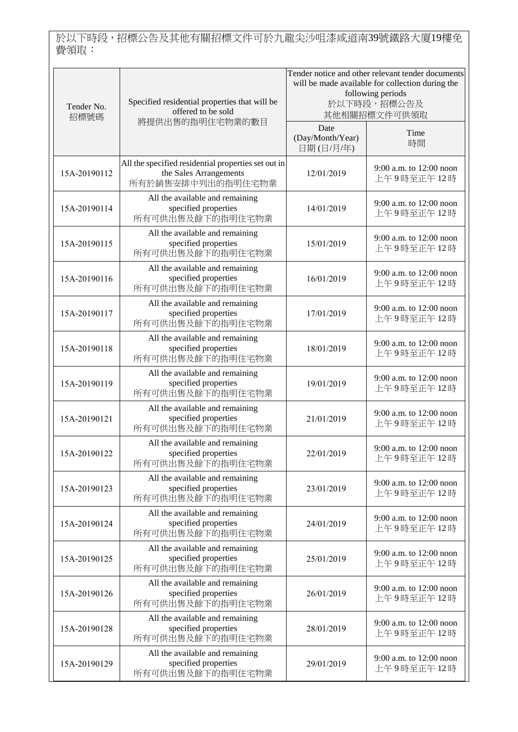於以下時段,招標公告及其他有關招標文件可於九龍尖沙咀漆咸道南39號鐵路大廈19樓免 費領取:

| Tender No.<br>招標號碼 | Specified residential properties that will be<br>offered to be sold                                | Tender notice and other relevant tender documents<br>will be made available for collection during the<br>following periods<br>於以下時段,招標公告及<br>其他相關招標文件可供領取 |                                       |
|--------------------|----------------------------------------------------------------------------------------------------|-----------------------------------------------------------------------------------------------------------------------------------------------------------|---------------------------------------|
|                    | 將提供出售的指明住宅物業的數目                                                                                    | Date<br>(Day/Month/Year)<br>日期(日/月/年)                                                                                                                     | Time<br>時間                            |
| 15A-20190112       | All the specified residential properties set out in<br>the Sales Arrangements<br>所有於銷售安排中列出的指明住宅物業 | 12/01/2019                                                                                                                                                | 9:00 a.m. to 12:00 noon<br>上午9時至正午12時 |
| 15A-20190114       | All the available and remaining<br>specified properties<br>所有可供出售及餘下的指明住宅物業                        | 14/01/2019                                                                                                                                                | 9:00 a.m. to 12:00 noon<br>上午9時至正午12時 |
| 15A-20190115       | All the available and remaining<br>specified properties<br>所有可供出售及餘下的指明住宅物業                        | 15/01/2019                                                                                                                                                | 9:00 a.m. to 12:00 noon<br>上午9時至正午12時 |
| 15A-20190116       | All the available and remaining<br>specified properties<br>所有可供出售及餘下的指明住宅物業                        | 16/01/2019                                                                                                                                                | 9:00 a.m. to 12:00 noon<br>上午9時至正午12時 |
| 15A-20190117       | All the available and remaining<br>specified properties<br>所有可供出售及餘下的指明住宅物業                        | 17/01/2019                                                                                                                                                | 9:00 a.m. to 12:00 noon<br>上午9時至正午12時 |
| 15A-20190118       | All the available and remaining<br>specified properties<br>所有可供出售及餘下的指明住宅物業                        | 18/01/2019                                                                                                                                                | 9:00 a.m. to 12:00 noon<br>上午9時至正午12時 |
| 15A-20190119       | All the available and remaining<br>specified properties<br>所有可供出售及餘下的指明住宅物業                        | 19/01/2019                                                                                                                                                | 9:00 a.m. to 12:00 noon<br>上午9時至正午12時 |
| 15A-20190121       | All the available and remaining<br>specified properties<br>所有可供出售及餘下的指明住宅物業                        | 21/01/2019                                                                                                                                                | 9:00 a.m. to 12:00 noon<br>上午9時至正午12時 |
| 15A-20190122       | All the available and remaining<br>specified properties<br>所有可供出售及餘下的指明住宅物業                        | 22/01/2019                                                                                                                                                | 9:00 a.m. to 12:00 noon<br>上午9時至正午12時 |
| 15A-20190123       | All the available and remaining<br>specified properties<br>所有可供出售及餘下的指明住宅物業                        | 23/01/2019                                                                                                                                                | 9:00 a.m. to 12:00 noon<br>上午9時至正午12時 |
| 15A-20190124       | All the available and remaining<br>specified properties<br>所有可供出售及餘下的指明住宅物業                        | 24/01/2019                                                                                                                                                | 9:00 a.m. to 12:00 noon<br>上午9時至正午12時 |
| 15A-20190125       | All the available and remaining<br>specified properties<br>所有可供出售及餘下的指明住宅物業                        | 25/01/2019                                                                                                                                                | 9:00 a.m. to 12:00 noon<br>上午9時至正午12時 |
| 15A-20190126       | All the available and remaining<br>specified properties<br>所有可供出售及餘下的指明住宅物業                        | 26/01/2019                                                                                                                                                | 9:00 a.m. to 12:00 noon<br>上午9時至正午12時 |
| 15A-20190128       | All the available and remaining<br>specified properties<br>所有可供出售及餘下的指明住宅物業                        | 28/01/2019                                                                                                                                                | 9:00 a.m. to 12:00 noon<br>上午9時至正午12時 |
| 15A-20190129       | All the available and remaining<br>specified properties<br>所有可供出售及餘下的指明住宅物業                        | 29/01/2019                                                                                                                                                | 9:00 a.m. to 12:00 noon<br>上午9時至正午12時 |